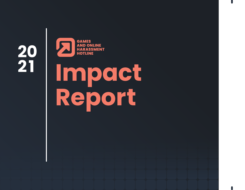**20 21**



# **Impact Report**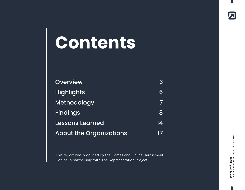## <span id="page-1-0"></span>**Contents**

| <b>Overview</b>                | 3  |
|--------------------------------|----|
| <b>Highlights</b>              | 6  |
| Methodology                    |    |
| <b>Findings</b>                | 8  |
| <b>Lessons Learned</b>         | 14 |
| <b>About the Organizations</b> |    |

This report was produced by the Games and Online Harassment Hotline in partnership with The Representation Project.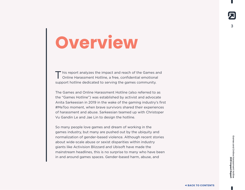## <span id="page-2-0"></span>**Overview**

 $\blacksquare$  his report analyzes the impact and reach of the Games and Online Harassment Hotline, a free, confidential emotional support hotline dedicated to serving the games community.

The Games and Online Harassment Hotline (also referred to as the "Games Hotline") was established by activist and advocate Anita Sarkeesian in 2019 in the wake of the gaming industry's first #MeToo moment, when brave survivors shared their experiences of harassment and abuse. Sarkeesian teamed up with Christoper Vu Gandin Le and Jae Lin to design the hotline.

So many people love games and dream of working in the games industry, but many are pushed out by the ubiquity and normalization of gender-based violence. Although recent stories about wide-scale abuse or sexist disparities within industry giants like Activision Blizzard and Ubisoft have made the mainstream headlines, this is no surprise to many who have been in and around games spaces. Gender-based harm, abuse, and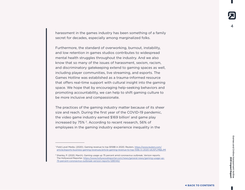harassment in the games industry has been something of a family secret for decades, especially among marginalized folks.

Furthermore, the standard of overworking, burnout, instability, and low retention in games studios contributes to widespread mental health struggles throughout the industry. And we also know that so many of the issues of harassment, sexism, racism, and discriminatory gatekeeping extend to gaming spaces as well, including player communities, live streaming, and esports. The Games Hotline was established as a trauma-informed resource that offers real-time support with cultural insight into the gaming space. We hope that by encouraging help-seeking behaviors and promoting accountability, we can help to shift gaming culture to be more inclusive and compassionate.

The practices of the gaming industry matter because of its sheer size and reach. During the first year of the COVID-19 pandemic, the video game industry earned \$169 billion<sup>1</sup> and game play increased by 75% 2. According to recent research, 56% of employees in the gaming industry experience inequality in the

<sup>1</sup> Field Level Media. (2020). Gaming revenue to top \$159B in 2020. Reuters. https://www.reuters.com/ article/esports-business-gaming-revenues/article-gaming-revenue-to-top-159b-in-2020-idUSFLM8jkJMl

<sup>2</sup> Shanley, P. (2020, March). Gaming usage up 75 percent amid coronavirus outbreak, Verizon reports. The Hollywood Reporter. https://www.hollywoodreporter.com/news/general-news/gaming-usage-up-75-percent-coronavirus-outbreak-verizon-reports-1285140/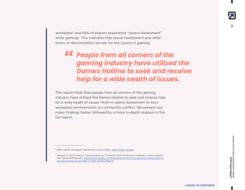workplace<sup>3</sup> and 65% of players experience "severe harassment" while gaming<sup>4</sup>. This indicates that sexual harassment and other forms of discrimination are par for the course in gaming.

## **EE** People from all corners of the *gaming industry have utilized the Games Hotline to seek and receive help for a wide swath of issues.*

This report finds that people from all corners of the gaming industry have utilized the Games Hotline to seek and receive help for a wide swath of issues—from in-game harassment to toxic workplace environments to community conflict. We present our major findings below, followed by a more in-depth analysis in the full report.

<sup>3</sup> IGDA. (2021). Developer Satisfaction Survey (DSS). <https://igda.org/dss/>

<sup>4</sup> Shanley, P. (2020, March). Gaming usage up 75 percent amid coronavirus outbreak, Verizon reports. The Hollywood Reporter. https://www.reuters.com/article/esports-business-gaming-revenues/articlegaming-revenue-to-top-159b-in-2020-idUSFLM8jkJMl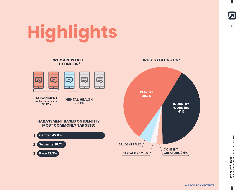## <span id="page-5-0"></span><sup>6</sup>**Highlights**



Games and Online Harassment Hotline<br>2021 Impact Report Games and Online Harassment Hotline **2021 Impact Report**

 $\blacksquare$ 

囚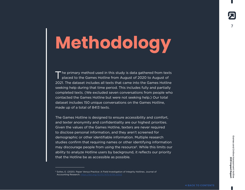## <span id="page-6-0"></span>**Methodology**

The primary method used in this study is data gathered from texts<br>placed to the Games Hotline from August of 2020 to August of 2021. The dataset includes all texts that came into the Games Hotline seeking help during that time period. This includes fully and partially completed texts. (We excluded seven conversations from people who contacted the Games Hotline but were not seeking help.) Our total dataset includes 150 unique conversations on the Games Hotline, made up of a total of 8413 texts.

The Games Hotline is designed to ensure accessibility and comfort, and texter anonymity and confidentiality are our highest priorities. Given the values of the Games Hotline, texters are never required to disclose personal information, and they aren't screened for demographic or other identifiable information. Multiple research studies confirm that requiring names or other identifying information may discourage people from using the resource5. While this limits our ability to analyze Hotline users by background, it reflects our priority that the Hotline be as accessible as possible.

<sup>&</sup>lt;sup>5</sup> Soltes, E. (2020). Paper Versus Practice: A Field Investigation of Integrity Hotlines. Journal of Accounting Research. https://doi.org/10.1111/1475-679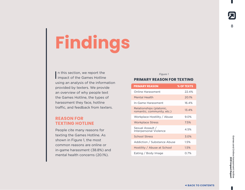## <span id="page-7-0"></span>**Findings**

In this section, we report the<br>impact of the Games Hotline n this section, we report the using an analysis of the information provided by texters. We provide an overview of why people text the Games Hotline, the types of harassment they face, hotline traffic, and feedback from texters.

## **REASON FOR TEXTING HOTLINE**

People cite many reasons for texting the Games Hotline. As shown in Figure 1, the most common reasons are online or in-game harassment (38.8%) and mental health concerns (20.1%).

#### Figure 1

### **PRIMARY REASON FOR TEXTING**

| <b>PRIMARY REASON</b>                                  | % OF TEXTS |
|--------------------------------------------------------|------------|
| Online Harassment                                      | 22.4%      |
| Mental Health                                          | 20.1%      |
| In-Game Harassment                                     | 16.4%      |
| Relationships (platonic,<br>romantic, community, etc.) | 13.4%      |
| Workplace Hostility / Abuse                            | 9.0%       |
| <b>Workplace Stress</b>                                | 7.5%       |
| Sexual Assault /<br>Interpersonal Violence             | 4.5%       |
| <b>School Stress</b>                                   | 3.0%       |
| Addiction / Substance Abuse                            | 1.5%       |
| Hostility / Abuse at School                            | 1.5%       |
| Eating / Body Image                                    | 0.7%       |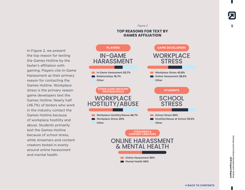In Figure 2, we present the top reason for texting the Games Hotline by the texter's affiliation with gaming. Players cite In-Game Harassment as their primary reason for contacting the Games Hotline. Workplace stress is the primary reason game developers text the Games Hotline. Nearly half (46.7%) of texters who work in the industry contact the Games Hotline because of workplace hostility and abuse. Students primarily text the Games Hotline because of school stress, while streamers and content creators texted in evenly around online harassment and mental health.

### In-Game Harassment **52.7%** Relationships **16.7% Other PLAYERS** IN-GAME HARASSMENT Workplace Hostility/Abuse **46.7%** Workplace Stress **20% Other OTHER GAME INDUSTRY PROFESSIONALS WORKPLACE** HOSTILITY/ABUSE **STREAMERS & CONTENT CREATORS** Online Harassment **50%** Mental Health **50%** ONLINE HARASSMENT & MENTAL HEALTH Workplace Stress **42.8%** Online Harassment **28.5% Other GAME DEVELOPERS** WORKPLACE **STRESS** School Stress **50%** Hostility/Abuse at School **33.3% Other STUDENTS SCHOOL STRESS**

**TOP REASONS FOR TEXT BY GAMES AFFILIATION**

Figure 2

Games and Online Harassment Hotline<br>2021 Impact Report Games and Online Harassment Hotline **2021 Impact Report**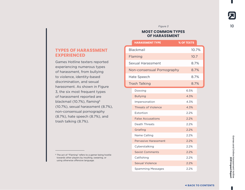Figure 3

### **MOST COMMON TYPES OF HARASSMENT**

|  | <b>HARASSMENT TYPE</b>      | % OF TEXTS |  |
|--|-----------------------------|------------|--|
|  | Blackmail                   | 10.7%      |  |
|  | Flaming                     | 10.7       |  |
|  | <b>Sexual Harassment</b>    | 8.7%       |  |
|  | Non-consensual Pornography  | 8.7%       |  |
|  | Hate Speech                 | 8.7%       |  |
|  | <b>Trash Talking</b>        | 8.7%       |  |
|  | Doxxing                     | 6.5%       |  |
|  | <b>Bullying</b>             | 4.3%       |  |
|  | Impersonation               | 4.3%       |  |
|  | <b>Threats of Violence</b>  | 4.3%       |  |
|  | Extortion                   | 2.2%       |  |
|  | <b>False Accusations</b>    | 2.2%       |  |
|  | Death Threats               | 2.2%       |  |
|  | Griefing                    | 2.2%       |  |
|  | Name Calling                | 2.2%       |  |
|  | <b>Pervasive Harassment</b> | 2.2%       |  |
|  | Cyberstalking               | 2.2%       |  |
|  | <b>Sexist Comments</b>      | 2.2%       |  |
|  | Catfishing                  | 2.2%       |  |
|  | <b>Sexual Violence</b>      | 2.2%       |  |
|  | <b>Spamming Messages</b>    | 2.2%       |  |

## **TYPES OF HARASSMENT EXPERIENCED**

Games Hotline texters reported experiencing numerous types of harassment, from bullying to violence, identity-based discrimination, and sexual harassment. As shown in Figure 3, the six most frequent types of harassment reported are blackmail (10.7%), flaming<sup>6</sup> (10.7%), sexual harassment (8.7%), non-consensual pornography (8.7%), hate speech (8.7%), and trash talking (8.7%).

6 The act of "Flaming" refers to a gamer being hostile towards other players by insulting, swearing, or using otherwise offensive language.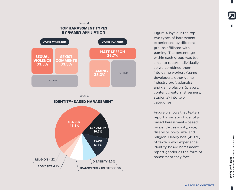#### Figure 4

### **TOP HARASSMENT TYPES BY GAMES AFFILIATION**



Figure 5



Figure 4 lays out the top two types of harassment experienced by different groups affiliated with gaming. The percentage within each group was too small to report individually so we combined them into game workers (game developers, other game industry professionals) and game players (players, content creators, streamers, students) into two categories.

Figure 5 shows that texters report a variety of identitybased harassment—based on gender, sexuality, race, disability, body size, and religion. Nearly half (45.8%) of texters who experience identity-based harassment report gender as the form of harassment they face.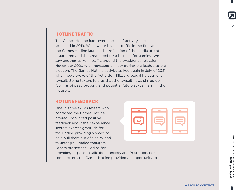## **HOTLINE TRAFFIC**

The Games Hotline had several peaks of activity since it launched in 2019. We saw our highest traffic in the first week the Games Hotline launched, a reflection of the media attention it garnered and the great need for a helpline for gaming. We saw another spike in traffic around the presidential election in November 2020 with increased anxiety during the leadup to the election. The Games Hotline activity spiked again in July of 2021 when news broke of the Activision Blizzard sexual harassment lawsuit. Some texters told us that the lawsuit news stirred up feelings of past, present, and potential future sexual harm in the industry.

some texters, the Games Hotline provided an opportunity to

## **HOTLINE FEEDBACK**

One-in-three (28%) texters who contacted the Games Hotline offered unsolicited positive feedback about their experience. Texters express gratitude for the Hotline providing a space to help pull them out of a spiral and to untangle jumbled thoughts. Others praised the Hotline for providing a space to talk about anxiety and frustration. For



Games and Online Games and Online Harassment Hotline Harassment Hotline<br>2021 Impact Report **2021 Impact Report**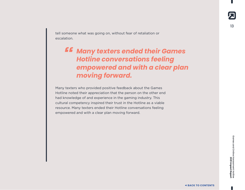tell someone what was going on, without fear of retaliation or escalation.

## *Many texters ended their Games*  **"***Hotline conversations feeling empowered and with a clear plan moving forward.*

Many texters who provided positive feedback about the Games Hotline noted their appreciation that the person on the other end had knowledge of and experience in the gaming industry. This cultural competency inspired their trust in the Hotline as a viable resource. Many texters ended their Hotline conversations feeling empowered and with a clear plan moving forward.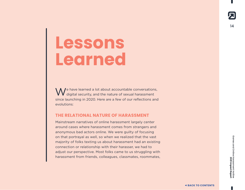## <span id="page-13-0"></span>**Lessons Learned**

We have learned a lot about accountable conversations,  $\mathcal W$  digital security, and the nature of sexual harassment since launching in 2020. Here are a few of our reflections and evolutions:

### **THE RELATIONAL NATURE OF HARASSMENT**

Mainstream narratives of online harassment largely center around cases where harassment comes from strangers and anonymous bad actors online. We were guilty of focusing on that portrayal as well, so when we realized that the vast majority of folks texting us about harassment had an existing connection or relationship with their harasser, we had to adjust our perspective. Most folks came to us struggling with harassment from friends, colleagues, classmates, roommates,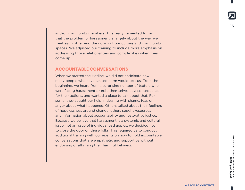and/or community members. This really cemented for us that the problem of harassment is largely about the way we treat each other and the norms of our culture and community spaces. We adjusted our training to include more emphasis on addressing those relational ties and complexities when they come up.

### **ACCOUNTABLE CONVERSATIONS**

When we started the Hotline, we did not anticipate how many people who have caused harm would text us. From the beginning, we heard from a surprising number of texters who were facing harassment or exile themselves as a consequence for their actions, and wanted a place to talk about that. For some, they sought our help in dealing with shame, fear, or anger about what happened. Others talked about their feelings of hopelessness around change; others sought resources and information about accountability and restorative justice. Because we believe that harassment is a systemic and cultural issue, not an issue of individual bad apples, we decided not to close the door on these folks. This required us to conduct additional training with our agents on how to hold accountable conversations that are empathetic and supportive without endorsing or affirming their harmful behavior.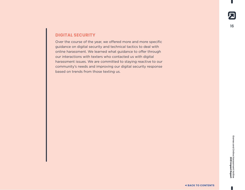## **DIGITAL SECURITY**

Over the course of the year, we offered more and more specific guidance on digital security and technical tactics to deal with online harassment. We learned what guidance to offer through our interactions with texters who contacted us with digital harassment issues. We are committed to staying reactive to our community's needs and improving our digital security response based on trends from those texting us.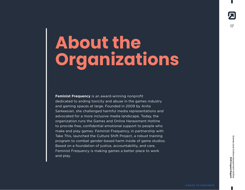## <span id="page-16-0"></span>**About the Organizations**

**Feminist Frequency** is an award-winning nonprofit dedicated to ending toxicity and abuse in the games industry and gaming spaces at large. Founded in 2009 by Anita Sarkeesian, she challenged harmful media representations and advocated for a more inclusive media landscape. Today, the organization runs the Games and Online Harassment Hotline to provide free, confidential emotional support to people who make and play games. Feminist Frequency, in partnership with Take This, launched the Culture Shift Project, a robust training program to combat gender-based harm inside of game studios. Based on a foundation of justice, accountability, and care, Feminist Frequency is making games a better place to work and play.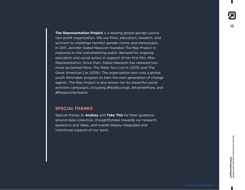**The Representation Project** is a leading global gender justice non-profit organization. We use films, education, research, and activism to challenge harmful gender norms and stereotypes. In 2011, Jennifer Siebel Newsom founded The Rep Project in response to the overwhelming public demand for ongoing education and social action in support of her first film, Miss Representation. Since then, Siebel Newsom has released two more acclaimed films, The Mask You Live In (2015) and The Great American Lie (2019). The organization also runs a global youth filmmaker program to train the next generation of change agents. The Rep Project is also known for its impactful social activism campaigns, including #NotBuyingIt, #AskHerMore, and #RespectHerGame.

### **SPECIAL THANKS**

Special thanks to **Anykey** and **Take This** for their guidance around data collection, thoughtfulness towards our research questions and ideas, and overall deeply integrated and intentional support of our work.